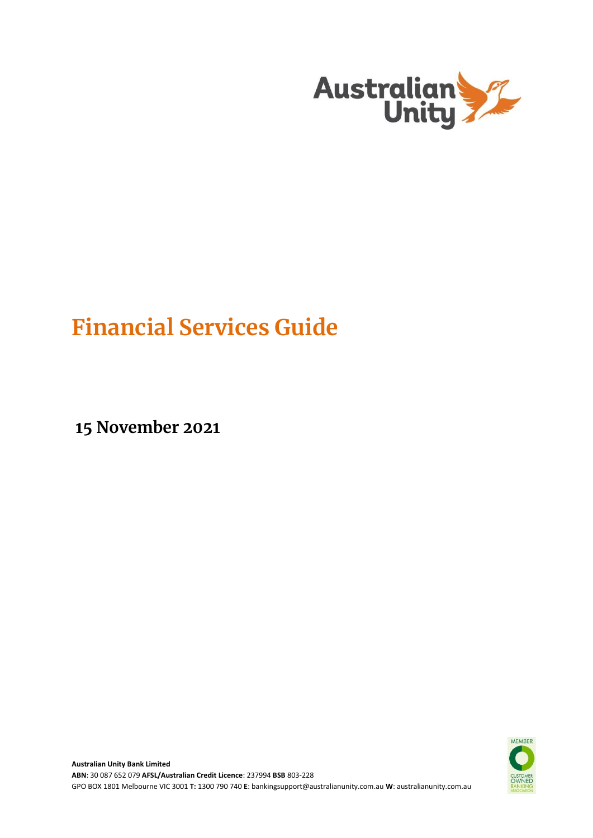

# **Financial Services Guide**

**15 November 2021**

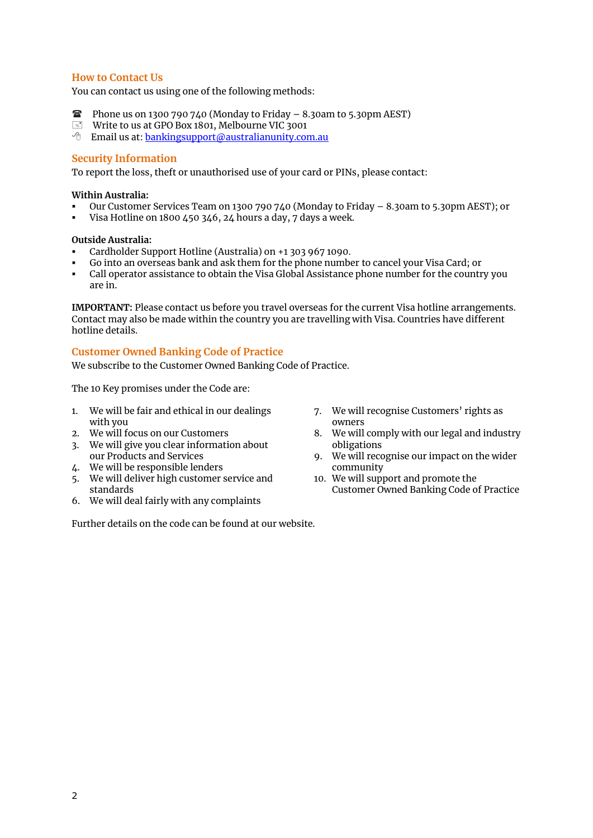# **How to Contact Us**

You can contact us using one of the following methods:

- **Phone us on 1300 790 740 (Monday to Friday 8.30am to 5.30pm AEST)**
- Write to us at GPO Box 1801, Melbourne VIC 3001
- $\Theta$  Email us at: [bankingsupport@australianunity.com.au](mailto:bankingsupport@australianunity.com.au)

## **Security Information**

To report the loss, theft or unauthorised use of your card or PINs, please contact:

## **Within Australia:**

- Our Customer Services Team on 1300 790 740 (Monday to Friday 8.30am to 5.30pm AEST); or
- Visa Hotline on 1800 450 346, 24 hours a day, 7 days a week.

## **Outside Australia:**

- Cardholder Support Hotline (Australia) on +1 303 967 1090.
- Go into an overseas bank and ask them for the phone number to cancel your Visa Card; or
- Call operator assistance to obtain the Visa Global Assistance phone number for the country you are in.

**IMPORTANT:** Please contact us before you travel overseas for the current Visa hotline arrangements. Contact may also be made within the country you are travelling with Visa. Countries have different hotline details.

## **Customer Owned Banking Code of Practice**

We subscribe to the Customer Owned Banking Code of Practice.

The 10 Key promises under the Code are:

- 1. We will be fair and ethical in our dealings with you
- 2. We will focus on our Customers
- 3. We will give you clear information about our Products and Services
- 4. We will be responsible lenders
- 5. We will deliver high customer service and standards
- 6. We will deal fairly with any complaints

Further details on the code can be found at our website.

- 7. We will recognise Customers' rights as owners
- 8. We will comply with our legal and industry obligations
- 9. We will recognise our impact on the wider community
- 10. We will support and promote the Customer Owned Banking Code of Practice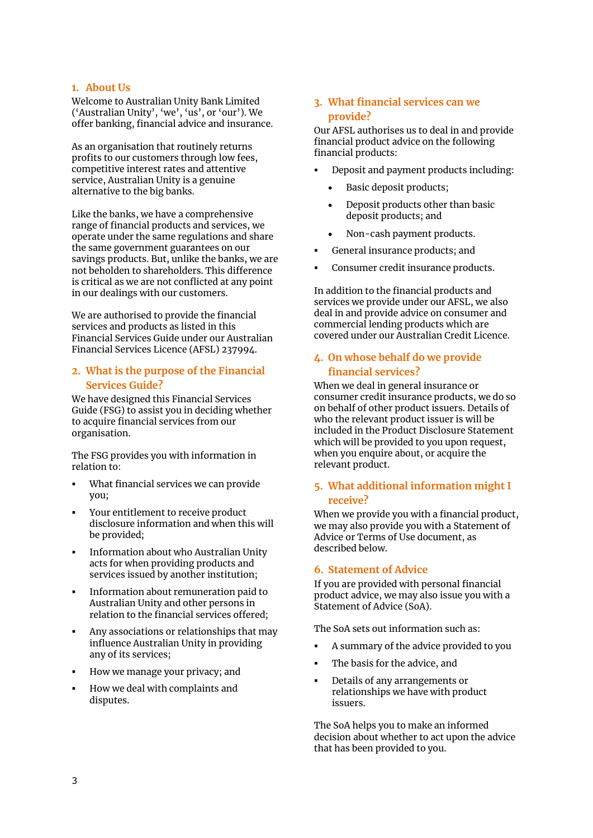## **1. About Us**

Welcome to Australian Unity Bank Limited ('Australian Unity', 'we', 'us', or 'our'). We offer banking, financial advice and insurance.

As an organisation that routinely returns profits to our customers through low fees, competitive interest rates and attentive service, Australian Unity is a genuine alternative to the big banks.

Like the banks, we have a comprehensive range of financial products and services, we operate under the same regulations and share the same government guarantees on our savings products. But, unlike the banks, we are not beholden to shareholders. This difference is critical as we are not conflicted at any point in our dealings with our customers.

We are authorised to provide the financial services and products as listed in this Financial Services Guide under our Australian Financial Services Licence (AFSL) 237994.

# **2. What is the purpose of the Financial Services Guide?**

We have designed this Financial Services Guide (FSG) to assist you in deciding whether to acquire financial services from our organisation.

The FSG provides you with information in relation to:

- What financial services we can provide you;
- Your entitlement to receive product disclosure information and when this will be provided;
- Information about who Australian Unity acts for when providing products and services issued by another institution;
- Information about remuneration paid to Australian Unity and other persons in relation to the financial services offered;
- Any associations or relationships that may influence Australian Unity in providing any of its services;
- How we manage your privacy; and
- How we deal with complaints and disputes.

# **3. What financial services can we provide?**

Our AFSL authorises us to deal in and provide financial product advice on the following financial products:

- Deposit and payment products including:
	- Basic deposit products;
	- Deposit products other than basic deposit products; and
	- Non-cash payment products.
- General insurance products; and
- Consumer credit insurance products.

In addition to the financial products and services we provide under our AFSL, we also deal in and provide advice on consumer and commercial lending products which are covered under our Australian Credit Licence.

# **4. On whose behalf do we provide financial services?**

When we deal in general insurance or consumer credit insurance products, we do so on behalf of other product issuers. Details of who the relevant product issuer is will be included in the Product Disclosure Statement which will be provided to you upon request, when you enquire about, or acquire the relevant product.

# **5. What additional information might I receive?**

When we provide you with a financial product, we may also provide you with a Statement of Advice or Terms of Use document, as described below.

## **6. Statement of Advice**

If you are provided with personal financial product advice, we may also issue you with a Statement of Advice (SoA).

The SoA sets out information such as:

- A summary of the advice provided to you
- The basis for the advice, and
- Details of any arrangements or relationships we have with product issuers.

The SoA helps you to make an informed decision about whether to act upon the advice that has been provided to you.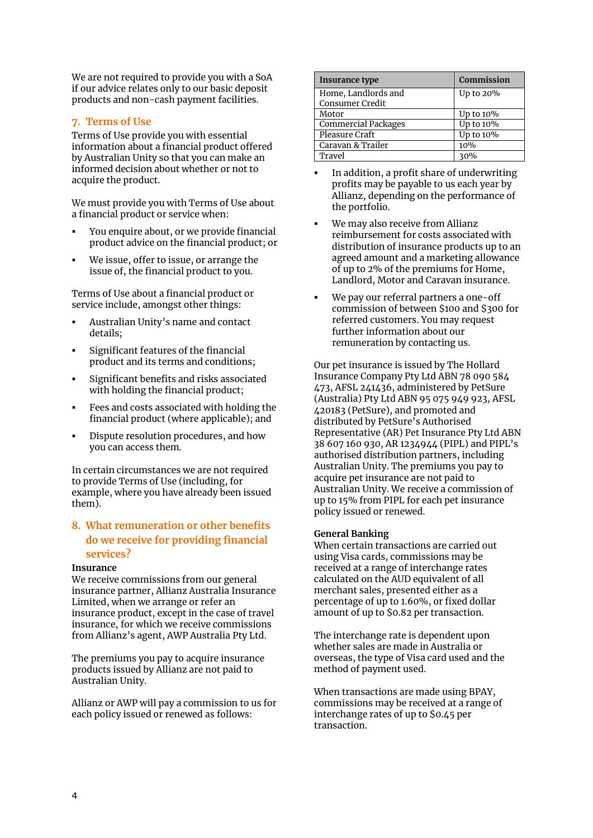We are not required to provide you with a SoA if our advice relates only to our basic deposit products and non-cash payment facilities.

## **7. Terms of Use**

Terms of Use provide you with essential information about a financial product offered by Australian Unity so that you can make an informed decision about whether or not to acquire the product.

We must provide you with Terms of Use about a financial product or service when:

- You enquire about, or we provide financial product advice on the financial product; or
- We issue, offer to issue, or arrange the issue of, the financial product to you.

Terms of Use about a financial product or service include, amongst other things:

- Australian Unity's name and contact details;
- Significant features of the financial product and its terms and conditions;
- Significant benefits and risks associated with holding the financial product;
- Fees and costs associated with holding the financial product (where applicable); and
- Dispute resolution procedures, and how you can access them.

In certain circumstances we are not required to provide Terms of Use (including, for example, where you have already been issued them).

# **8. What remuneration or other benefits do we receive for providing financial services?**

## **Insurance**

We receive commissions from our general insurance partner, Allianz Australia Insurance Limited, when we arrange or refer an insurance product, except in the case of travel insurance, for which we receive commissions from Allianz's agent, AWP Australia Pty Ltd.

The premiums you pay to acquire insurance products issued by Allianz are not paid to Australian Unity.

Allianz or AWP will pay a commission to us for each policy issued or renewed as follows:

| Insurance type             | Commission |
|----------------------------|------------|
| Home, Landlords and        | Up to 20%  |
| Consumer Credit            |            |
| Motor                      | Up to 10%  |
| <b>Commercial Packages</b> | Up to 10%  |
| Pleasure Craft             | Up to 10%  |
| Caravan & Trailer          | 10%        |
| Travel                     | 30%        |

- In addition, a profit share of underwriting profits may be payable to us each year by Allianz, depending on the performance of the portfolio.
- We may also receive from Allianz reimbursement for costs associated with distribution of insurance products up to an agreed amount and a marketing allowance of up to 2% of the premiums for Home, Landlord, Motor and Caravan insurance.
- We pay our referral partners a one-off commission of between \$100 and \$300 for referred customers. You may request further information about our remuneration by contacting us.

Our pet insurance is issued by The Hollard Insurance Company Pty Ltd ABN 78 090 584 473, AFSL 241436, administered by PetSure (Australia) Pty Ltd ABN 95 075 949 923, AFSL 420183 (PetSure), and promoted and distributed by PetSure's Authorised Representative (AR) Pet Insurance Pty Ltd ABN 38 607 160 930, AR 1234944 (PIPL) and PIPL's authorised distribution partners, including Australian Unity. The premiums you pay to acquire pet insurance are not paid to Australian Unity. We receive a commission of up to 15% from PIPL for each pet insurance policy issued or renewed.

## **General Banking**

When certain transactions are carried out using Visa cards, commissions may be received at a range of interchange rates calculated on the AUD equivalent of all merchant sales, presented either as a percentage of up to 1.60%, or fixed dollar amount of up to \$0.82 per transaction.

The interchange rate is dependent upon whether sales are made in Australia or overseas, the type of Visa card used and the method of payment used.

When transactions are made using BPAY, commissions may be received at a range of interchange rates of up to \$0.45 per transaction.